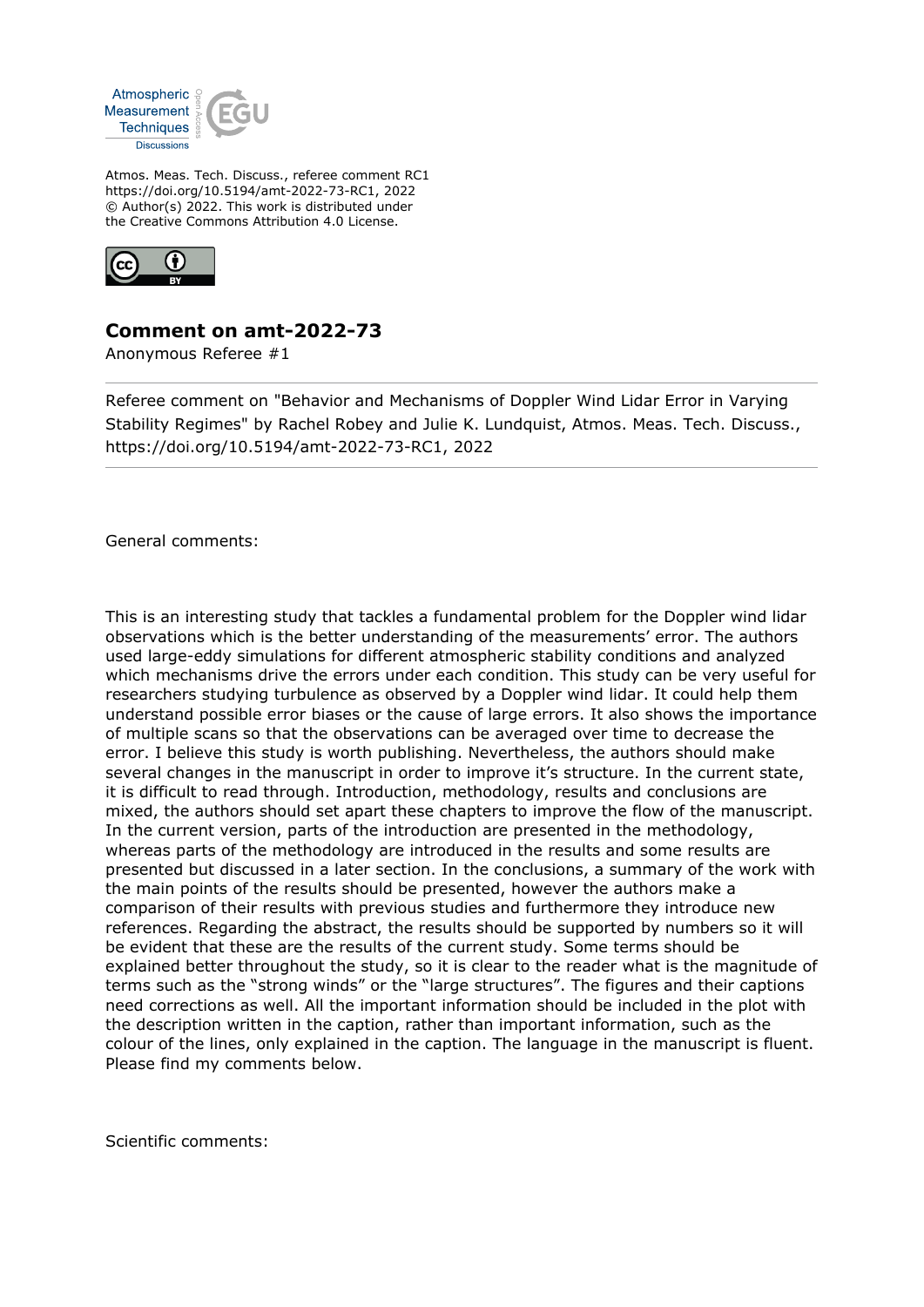

Atmos. Meas. Tech. Discuss., referee comment RC1 https://doi.org/10.5194/amt-2022-73-RC1, 2022 © Author(s) 2022. This work is distributed under the Creative Commons Attribution 4.0 License.



## **Comment on amt-2022-73**

Anonymous Referee #1

Referee comment on "Behavior and Mechanisms of Doppler Wind Lidar Error in Varying Stability Regimes" by Rachel Robey and Julie K. Lundquist, Atmos. Meas. Tech. Discuss., https://doi.org/10.5194/amt-2022-73-RC1, 2022

General comments:

This is an interesting study that tackles a fundamental problem for the Doppler wind lidar observations which is the better understanding of the measurements' error. The authors used large-eddy simulations for different atmospheric stability conditions and analyzed which mechanisms drive the errors under each condition. This study can be very useful for researchers studying turbulence as observed by a Doppler wind lidar. It could help them understand possible error biases or the cause of large errors. It also shows the importance of multiple scans so that the observations can be averaged over time to decrease the error. I believe this study is worth publishing. Nevertheless, the authors should make several changes in the manuscript in order to improve it's structure. In the current state, it is difficult to read through. Introduction, methodology, results and conclusions are mixed, the authors should set apart these chapters to improve the flow of the manuscript. In the current version, parts of the introduction are presented in the methodology, whereas parts of the methodology are introduced in the results and some results are presented but discussed in a later section. In the conclusions, a summary of the work with the main points of the results should be presented, however the authors make a comparison of their results with previous studies and furthermore they introduce new references. Regarding the abstract, the results should be supported by numbers so it will be evident that these are the results of the current study. Some terms should be explained better throughout the study, so it is clear to the reader what is the magnitude of terms such as the "strong winds" or the "large structures". The figures and their captions need corrections as well. All the important information should be included in the plot with the description written in the caption, rather than important information, such as the colour of the lines, only explained in the caption. The language in the manuscript is fluent. Please find my comments below.

Scientific comments: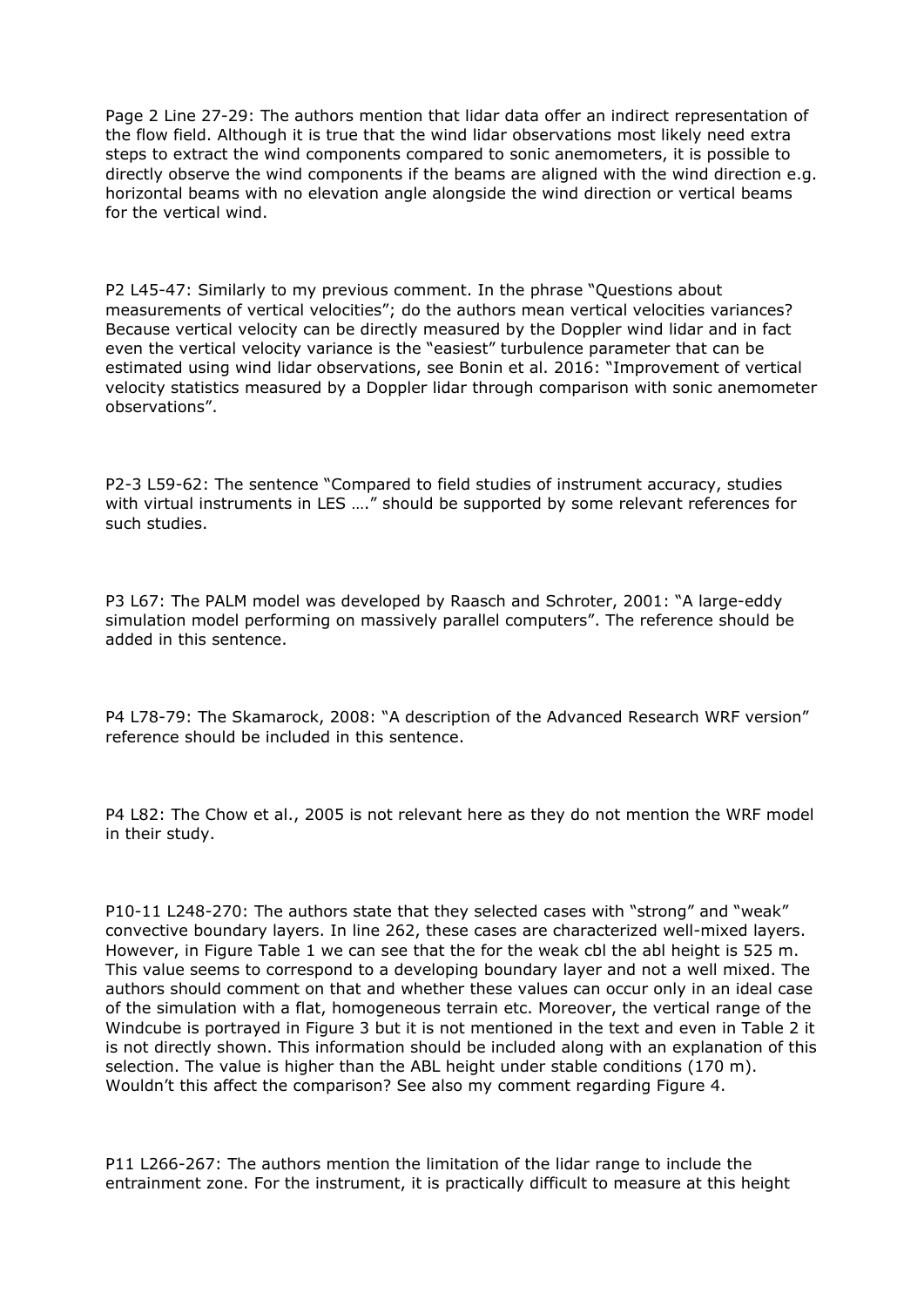Page 2 Line 27-29: The authors mention that lidar data offer an indirect representation of the flow field. Although it is true that the wind lidar observations most likely need extra steps to extract the wind components compared to sonic anemometers, it is possible to directly observe the wind components if the beams are aligned with the wind direction e.g. horizontal beams with no elevation angle alongside the wind direction or vertical beams for the vertical wind.

P2 L45-47: Similarly to my previous comment. In the phrase "Questions about measurements of vertical velocities"; do the authors mean vertical velocities variances? Because vertical velocity can be directly measured by the Doppler wind lidar and in fact even the vertical velocity variance is the "easiest" turbulence parameter that can be estimated using wind lidar observations, see Bonin et al. 2016: "Improvement of vertical velocity statistics measured by a Doppler lidar through comparison with sonic anemometer observations".

P2-3 L59-62: The sentence "Compared to field studies of instrument accuracy, studies with virtual instruments in LES ...." should be supported by some relevant references for such studies.

P3 L67: The PALM model was developed by Raasch and Schroter, 2001: "A large-eddy simulation model performing on massively parallel computers". The reference should be added in this sentence.

P4 L78-79: The Skamarock, 2008: "A description of the Advanced Research WRF version" reference should be included in this sentence.

P4 L82: The Chow et al., 2005 is not relevant here as they do not mention the WRF model in their study.

P10-11 L248-270: The authors state that they selected cases with "strong" and "weak" convective boundary layers. In line 262, these cases are characterized well-mixed layers. However, in Figure Table 1 we can see that the for the weak cbl the abl height is 525 m. This value seems to correspond to a developing boundary layer and not a well mixed. The authors should comment on that and whether these values can occur only in an ideal case of the simulation with a flat, homogeneous terrain etc. Moreover, the vertical range of the Windcube is portrayed in Figure 3 but it is not mentioned in the text and even in Table 2 it is not directly shown. This information should be included along with an explanation of this selection. The value is higher than the ABL height under stable conditions (170 m). Wouldn't this affect the comparison? See also my comment regarding Figure 4.

P11 L266-267: The authors mention the limitation of the lidar range to include the entrainment zone. For the instrument, it is practically difficult to measure at this height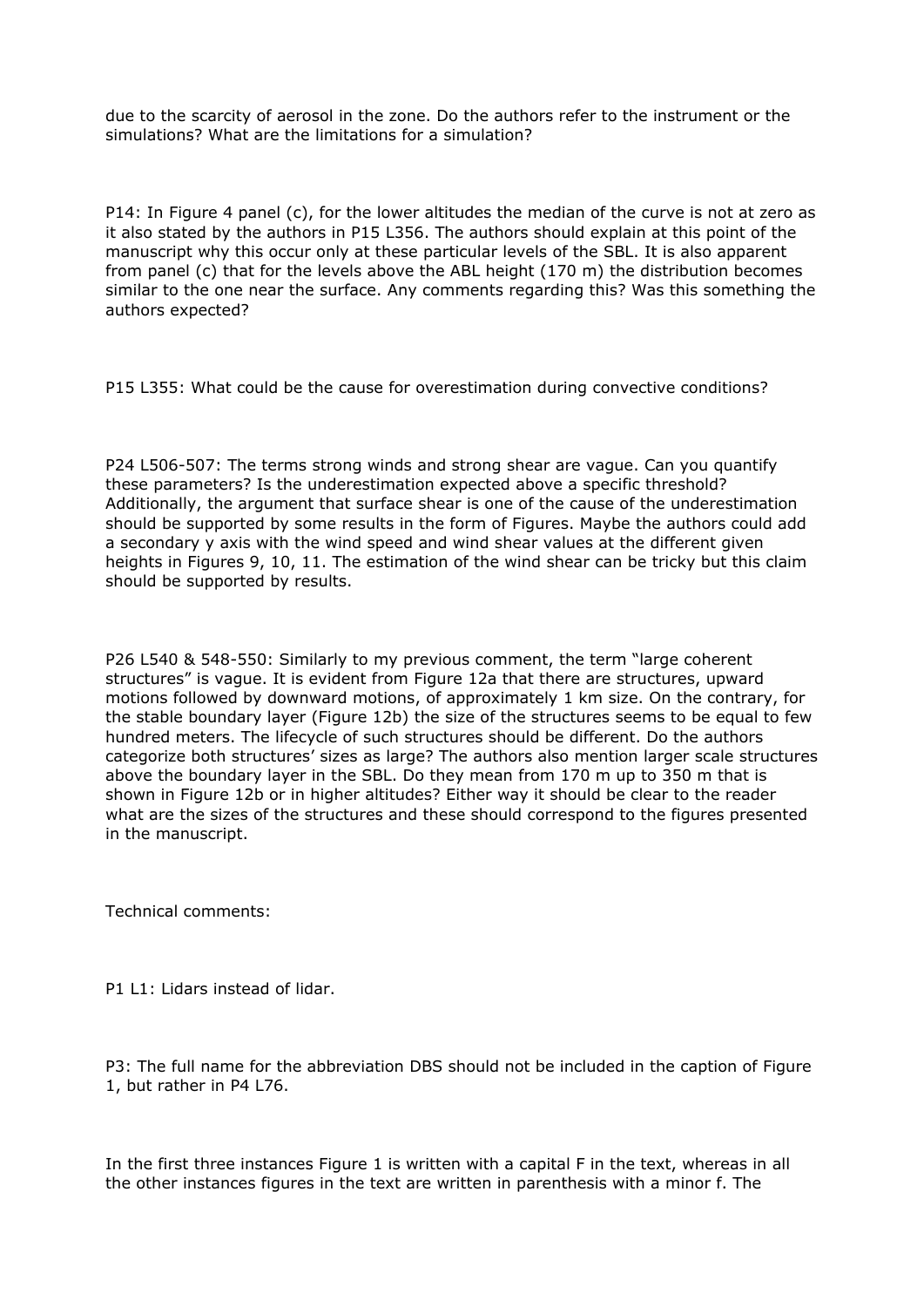due to the scarcity of aerosol in the zone. Do the authors refer to the instrument or the simulations? What are the limitations for a simulation?

P14: In Figure 4 panel (c), for the lower altitudes the median of the curve is not at zero as it also stated by the authors in P15 L356. The authors should explain at this point of the manuscript why this occur only at these particular levels of the SBL. It is also apparent from panel (c) that for the levels above the ABL height (170 m) the distribution becomes similar to the one near the surface. Any comments regarding this? Was this something the authors expected?

P15 L355: What could be the cause for overestimation during convective conditions?

P24 L506-507: The terms strong winds and strong shear are vague. Can you quantify these parameters? Is the underestimation expected above a specific threshold? Additionally, the argument that surface shear is one of the cause of the underestimation should be supported by some results in the form of Figures. Maybe the authors could add a secondary y axis with the wind speed and wind shear values at the different given heights in Figures 9, 10, 11. The estimation of the wind shear can be tricky but this claim should be supported by results.

P26 L540 & 548-550: Similarly to my previous comment, the term "large coherent structures" is vague. It is evident from Figure 12a that there are structures, upward motions followed by downward motions, of approximately 1 km size. On the contrary, for the stable boundary layer (Figure 12b) the size of the structures seems to be equal to few hundred meters. The lifecycle of such structures should be different. Do the authors categorize both structures' sizes as large? The authors also mention larger scale structures above the boundary layer in the SBL. Do they mean from 170 m up to 350 m that is shown in Figure 12b or in higher altitudes? Either way it should be clear to the reader what are the sizes of the structures and these should correspond to the figures presented in the manuscript.

Technical comments:

P1 L1: Lidars instead of lidar.

P3: The full name for the abbreviation DBS should not be included in the caption of Figure 1, but rather in P4 L76.

In the first three instances Figure 1 is written with a capital F in the text, whereas in all the other instances figures in the text are written in parenthesis with a minor f. The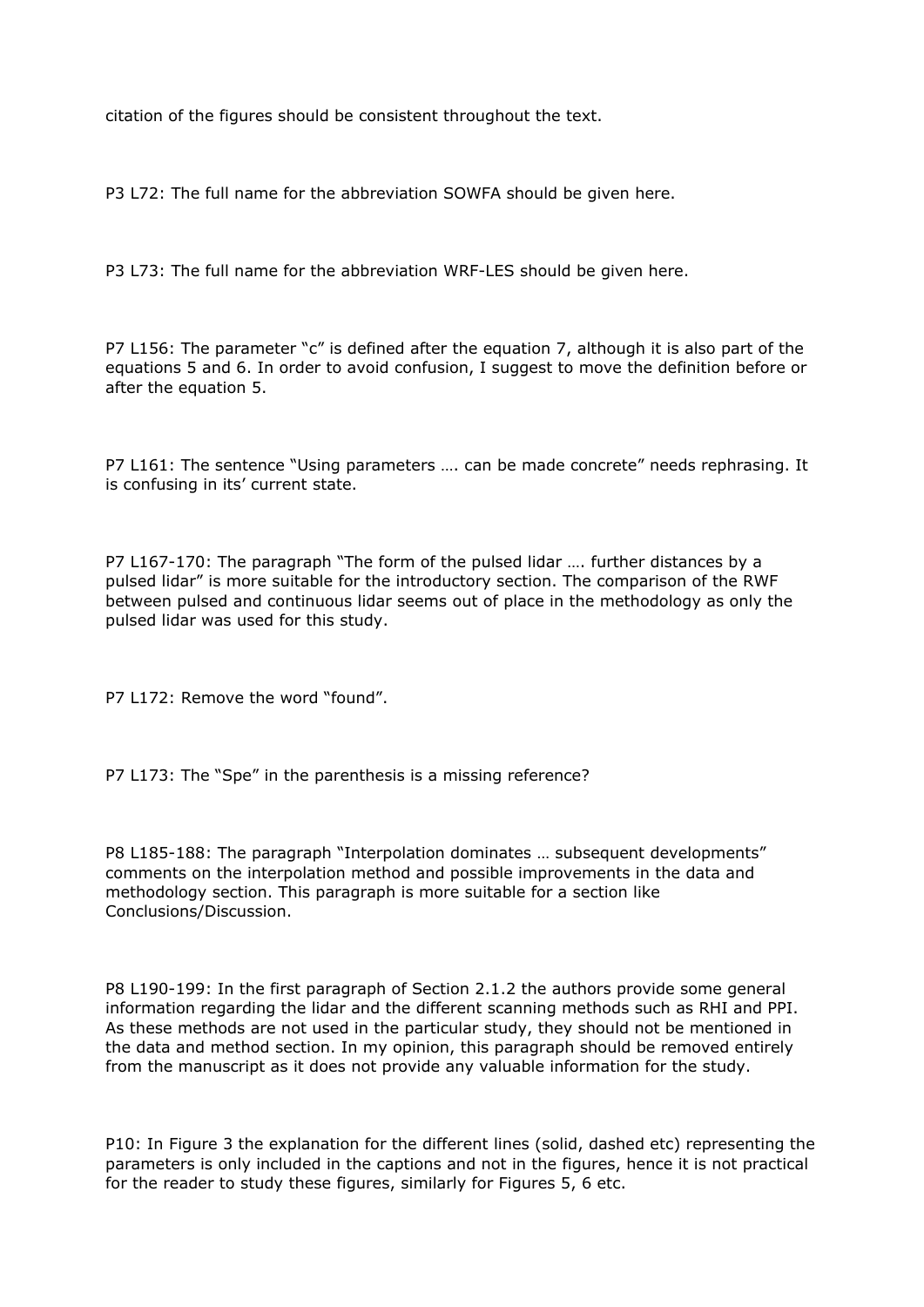citation of the figures should be consistent throughout the text.

P3 L72: The full name for the abbreviation SOWFA should be given here.

P3 L73: The full name for the abbreviation WRF-LES should be given here.

P7 L156: The parameter "c" is defined after the equation 7, although it is also part of the equations 5 and 6. In order to avoid confusion, I suggest to move the definition before or after the equation 5.

P7 L161: The sentence "Using parameters .... can be made concrete" needs rephrasing. It is confusing in its' current state.

P7 L167-170: The paragraph "The form of the pulsed lidar …. further distances by a pulsed lidar" is more suitable for the introductory section. The comparison of the RWF between pulsed and continuous lidar seems out of place in the methodology as only the pulsed lidar was used for this study.

P7 L172: Remove the word "found".

P7 L173: The "Spe" in the parenthesis is a missing reference?

P8 L185-188: The paragraph "Interpolation dominates … subsequent developments" comments on the interpolation method and possible improvements in the data and methodology section. This paragraph is more suitable for a section like Conclusions/Discussion.

P8 L190-199: In the first paragraph of Section 2.1.2 the authors provide some general information regarding the lidar and the different scanning methods such as RHI and PPI. As these methods are not used in the particular study, they should not be mentioned in the data and method section. In my opinion, this paragraph should be removed entirely from the manuscript as it does not provide any valuable information for the study.

P10: In Figure 3 the explanation for the different lines (solid, dashed etc) representing the parameters is only included in the captions and not in the figures, hence it is not practical for the reader to study these figures, similarly for Figures 5, 6 etc.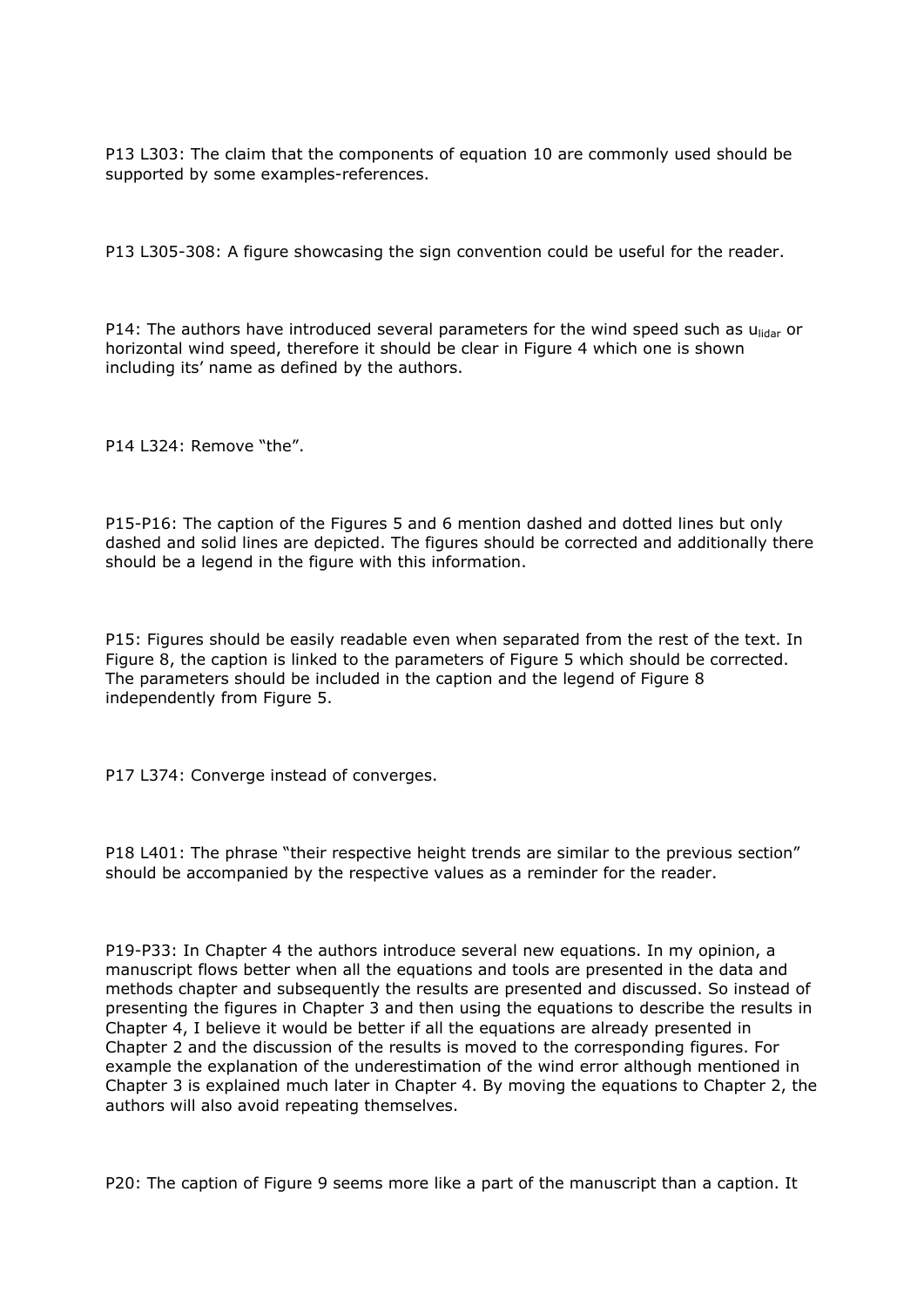P13 L303: The claim that the components of equation 10 are commonly used should be supported by some examples-references.

P13 L305-308: A figure showcasing the sign convention could be useful for the reader.

P14: The authors have introduced several parameters for the wind speed such as  $u_{\text{lidar}}$  or horizontal wind speed, therefore it should be clear in Figure 4 which one is shown including its' name as defined by the authors.

P14 L324: Remove "the".

P15-P16: The caption of the Figures 5 and 6 mention dashed and dotted lines but only dashed and solid lines are depicted. The figures should be corrected and additionally there should be a legend in the figure with this information.

P15: Figures should be easily readable even when separated from the rest of the text. In Figure 8, the caption is linked to the parameters of Figure 5 which should be corrected. The parameters should be included in the caption and the legend of Figure 8 independently from Figure 5.

P17 L374: Converge instead of converges.

P18 L401: The phrase "their respective height trends are similar to the previous section" should be accompanied by the respective values as a reminder for the reader.

P19-P33: In Chapter 4 the authors introduce several new equations. In my opinion, a manuscript flows better when all the equations and tools are presented in the data and methods chapter and subsequently the results are presented and discussed. So instead of presenting the figures in Chapter 3 and then using the equations to describe the results in Chapter 4, I believe it would be better if all the equations are already presented in Chapter 2 and the discussion of the results is moved to the corresponding figures. For example the explanation of the underestimation of the wind error although mentioned in Chapter 3 is explained much later in Chapter 4. By moving the equations to Chapter 2, the authors will also avoid repeating themselves.

P20: The caption of Figure 9 seems more like a part of the manuscript than a caption. It